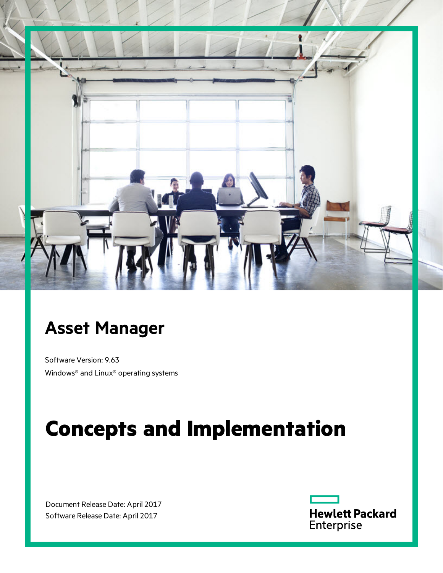

## **Asset Manager**

Software Version: 9.63 Windows® and Linux® operating systems

# **Concepts and Implementation**

Document Release Date: April 2017 Software Release Date: April 2017

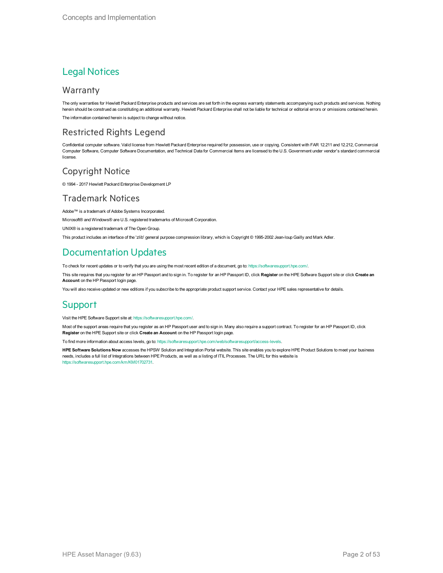### Legal Notices

### Warranty

The only warranties for Hewlett Packard Enterprise products and services are set forth in the express warranty statements accompanying such products and services. Nothing herein should be construed as constituting an additional warranty. Hewlett Packard Enterprise shall not be liable for technical or editorial errors or omissions contained herein. The information contained herein is subject to change without notice.

### Restricted Rights Legend

Confidential computer software. Valid license from Hewlett Packard Enterprise required for possession, use or copying. Consistent with FAR 12.211 and 12.212, Commercial Computer Software, Computer Software Documentation, and Technical Data for Commercial Items are licensed to the U.S. Government under vendor's standard commercial license.

### Copyright Notice

© 1994 - 2017 Hewlett Packard Enterprise Development LP

### Trademark Notices

Adobe™ is a trademark of Adobe Systems Incorporated.

Microsoft® and Windows® are U.S. registered trademarks of Microsoft Corporation.

UNIX® is a registered trademark of The Open Group.

This product includes an interface of the 'zlib' general purpose compression library, which is Copyright © 1995-2002 Jean-loup Gailly and Mark Adler.

### Documentation Updates

To check for recent updates or to verify that you are using the most recent edition of a document, go to: <https://softwaresupport.hpe.com/>.

This site requires that you register for an HP Passport and to sign in. To register for an HP Passport ID, click **Register** on the HPE Software Support site or click **Create an Account** on the HP Passport login page.

You will also receive updated or new editions if you subscribe to the appropriate product support service. Contact your HPE sales representative for details.

### **Support**

Visit the HPE Software Support site at: <https://softwaresupport.hpe.com/>.

Most of the support areas require that you register as an HP Passport user and to sign in. Many also require a support contract. To register for an HP Passport ID, click **Register** on the HPE Support site or click **Create an Account** on the HP Passport login page.

To find more information about access levels, go to: <https://softwaresupport.hpe.com/web/softwaresupport/access-levels>.

**HPE Software Solutions Now** accesses the HPSW Solution and Integration Portal website. This site enables you to explore HPE Product Solutions to meet your business needs, includes a full list of Integrations between HPE Products, as well as a listing of ITIL Processes. The URL for this website is [https://softwaresupport.hpe.com/km/KM01702731.](https://softwaresupport.hpe.com/km/KM01702731)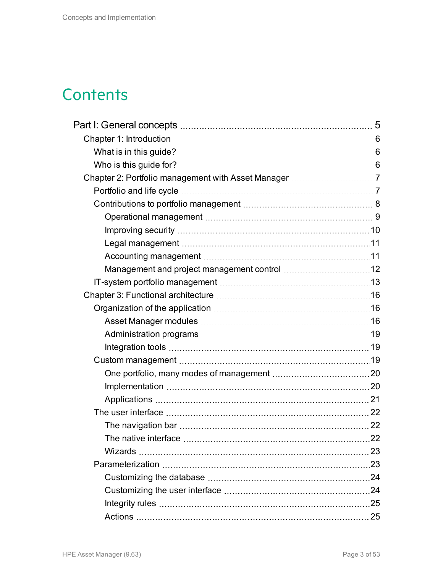## **Contents**

| 23 |
|----|
|    |
|    |
|    |
|    |
|    |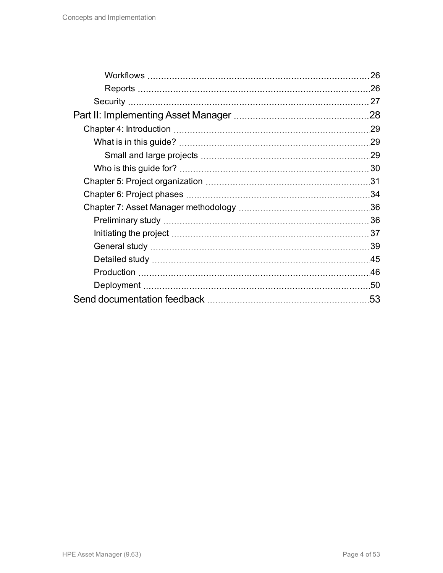| 26  |
|-----|
| .26 |
| 27  |
| 28  |
| 29  |
| .29 |
| .29 |
| 30  |
|     |
|     |
|     |
|     |
| 37  |
| 39  |
| .45 |
| .46 |
|     |
| 53  |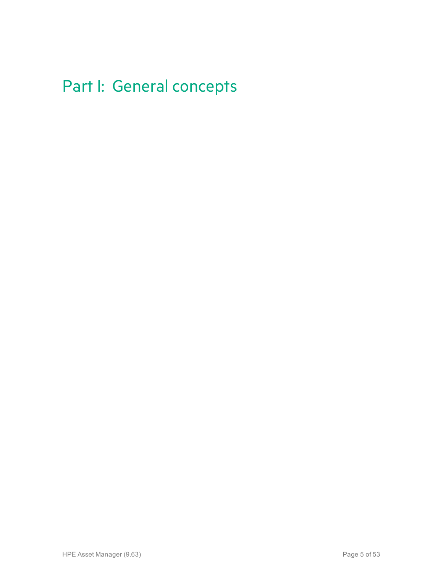## <span id="page-4-0"></span>Part I: General concepts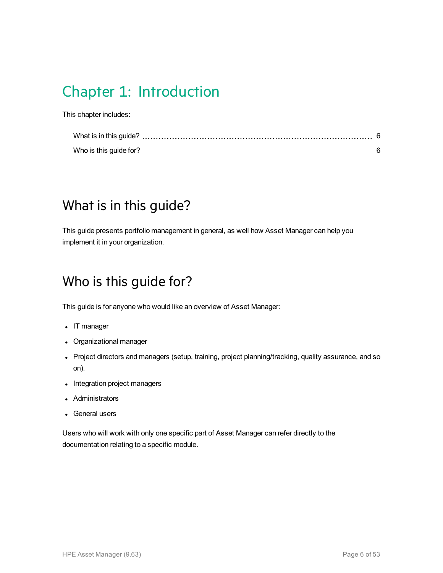## <span id="page-5-0"></span>Chapter 1: Introduction

This chapter includes:

## <span id="page-5-1"></span>What is in this guide?

<span id="page-5-2"></span>This guide presents portfolio management in general, as well how Asset Manager can help you implement it in your organization.

## Who is this guide for?

This guide is for anyone who would like an overview of Asset Manager:

- IT manager
- Organizational manager
- Project directors and managers (setup, training, project planning/tracking, quality assurance, and so on).
- Integration project managers
- Administrators
- General users

Users who will work with only one specific part of Asset Manager can refer directly to the documentation relating to a specific module.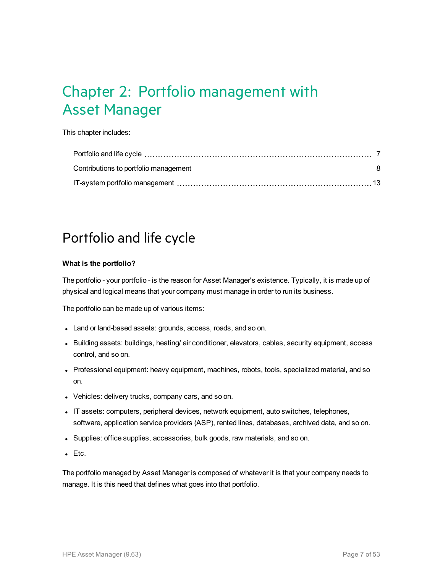## <span id="page-6-0"></span>Chapter 2: Portfolio management with Asset Manager

This chapter includes:

## <span id="page-6-1"></span>Portfolio and life cycle

#### **What is the portfolio?**

The portfolio - your portfolio - is the reason for Asset Manager's existence. Typically, it is made up of physical and logical means that your company must manage in order to run its business.

The portfolio can be made up of various items:

- Land or land-based assets: grounds, access, roads, and so on.
- Building assets: buildings, heating/ air conditioner, elevators, cables, security equipment, access control, and so on.
- Professional equipment: heavy equipment, machines, robots, tools, specialized material, and so on.
- Vehicles: delivery trucks, company cars, and so on.
- IT assets: computers, peripheral devices, network equipment, auto switches, telephones, software, application service providers (ASP), rented lines, databases, archived data, and so on.
- Supplies: office supplies, accessories, bulk goods, raw materials, and so on.
- $\cdot$  Etc.

The portfolio managed by Asset Manager is composed of whatever it is that your company needs to manage. It is this need that defines what goes into that portfolio.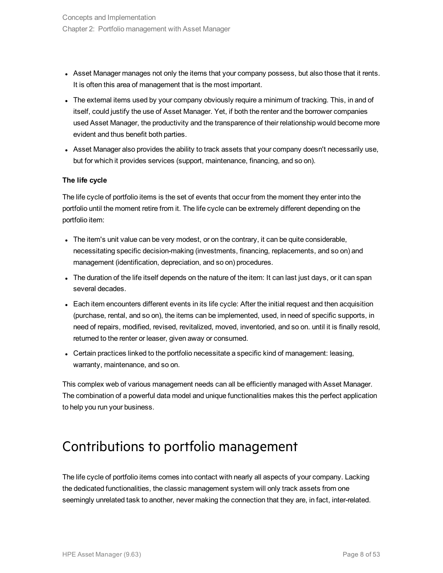- Asset Manager manages not only the items that your company possess, but also those that it rents. It is often this area of management that is the most important.
- The external items used by your company obviously require a minimum of tracking. This, in and of itself, could justify the use of Asset Manager. Yet, if both the renter and the borrower companies used Asset Manager, the productivity and the transparence of their relationship would become more evident and thus benefit both parties.
- Asset Manager also provides the ability to track assets that your company doesn't necessarily use, but for which it provides services (support, maintenance, financing, and so on).

#### **The life cycle**

The life cycle of portfolio items is the set of events that occur from the moment they enter into the portfolio until the moment retire from it. The life cycle can be extremely different depending on the portfolio item:

- $\bullet$  The item's unit value can be very modest, or on the contrary, it can be quite considerable, necessitating specific decision-making (investments, financing, replacements, and so on) and management (identification, depreciation, and so on) procedures.
- The duration of the life itself depends on the nature of the item: It can last just days, or it can span several decades.
- Each item encounters different events in its life cycle: After the initial request and then acquisition (purchase, rental, and so on), the items can be implemented, used, in need of specific supports, in need of repairs, modified, revised, revitalized, moved, inventoried, and so on. until it is finally resold, returned to the renter or leaser, given away or consumed.
- Certain practices linked to the portfolio necessitate a specific kind of management: leasing, warranty, maintenance, and so on.

This complex web of various management needs can all be efficiently managed with Asset Manager. The combination of a powerful data model and unique functionalities makes this the perfect application to help you run your business.

### <span id="page-7-0"></span>Contributions to portfolio management

The life cycle of portfolio items comes into contact with nearly all aspects of your company. Lacking the dedicated functionalities, the classic management system will only track assets from one seemingly unrelated task to another, never making the connection that they are, in fact, inter-related.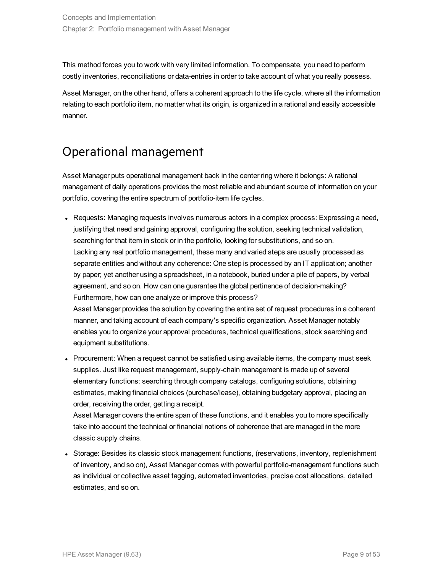This method forces you to work with very limited information. To compensate, you need to perform costly inventories, reconciliations or data-entries in order to take account of what you really possess.

Asset Manager, on the other hand, offers a coherent approach to the life cycle, where all the information relating to each portfolio item, no matter what its origin, is organized in a rational and easily accessible manner.

## <span id="page-8-0"></span>Operational management

Asset Manager puts operational management back in the center ring where it belongs: A rational management of daily operations provides the most reliable and abundant source of information on your portfolio, covering the entire spectrum of portfolio-item life cycles.

• Requests: Managing requests involves numerous actors in a complex process: Expressing a need, justifying that need and gaining approval, configuring the solution, seeking technical validation, searching for that item in stock or in the portfolio, looking for substitutions, and so on. Lacking any real portfolio management, these many and varied steps are usually processed as separate entities and without any coherence: One step is processed by an IT application; another by paper; yet another using a spreadsheet, in a notebook, buried under a pile of papers, by verbal agreement, and so on. How can one guarantee the global pertinence of decision-making? Furthermore, how can one analyze or improve this process? Asset Manager provides the solution by covering the entire set of request procedures in a coherent

manner, and taking account of each company's specific organization. Asset Manager notably enables you to organize your approval procedures, technical qualifications, stock searching and equipment substitutions.

• Procurement: When a request cannot be satisfied using available items, the company must seek supplies. Just like request management, supply-chain management is made up of several elementary functions: searching through company catalogs, configuring solutions, obtaining estimates, making financial choices (purchase/lease), obtaining budgetary approval, placing an order, receiving the order, getting a receipt.

Asset Manager covers the entire span of these functions, and it enables you to more specifically take into account the technical or financial notions of coherence that are managed in the more classic supply chains.

• Storage: Besides its classic stock management functions, (reservations, inventory, replenishment of inventory, and so on), Asset Manager comes with powerful portfolio-management functions such as individual or collective asset tagging, automated inventories, precise cost allocations, detailed estimates, and so on.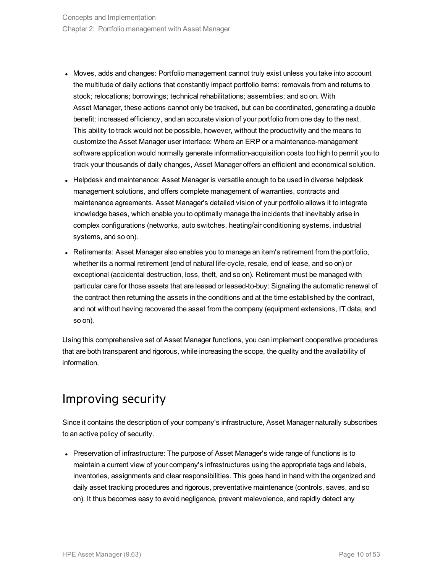- Moves, adds and changes: Portfolio management cannot truly exist unless you take into account the multitude of daily actions that constantly impact portfolio items: removals from and returns to stock; relocations; borrowings; technical rehabilitations; assemblies; and so on. With Asset Manager, these actions cannot only be tracked, but can be coordinated, generating a double benefit: increased efficiency, and an accurate vision of your portfolio from one day to the next. This ability to track would not be possible, however, without the productivity and the means to customize the Asset Manager user interface: Where an ERP or a maintenance-management software application would normally generate information-acquisition costs too high to permit you to track your thousands of daily changes, Asset Manager offers an efficient and economical solution.
- Helpdesk and maintenance: Asset Manager is versatile enough to be used in diverse helpdesk management solutions, and offers complete management of warranties, contracts and maintenance agreements. Asset Manager's detailed vision of your portfolio allows it to integrate knowledge bases, which enable you to optimally manage the incidents that inevitably arise in complex configurations (networks, auto switches, heating/air conditioning systems, industrial systems, and so on).
- Retirements: Asset Manager also enables you to manage an item's retirement from the portfolio, whether its a normal retirement (end of natural life-cycle, resale, end of lease, and so on) or exceptional (accidental destruction, loss, theft, and so on). Retirement must be managed with particular care for those assets that are leased or leased-to-buy: Signaling the automatic renewal of the contract then returning the assets in the conditions and at the time established by the contract, and not without having recovered the asset from the company (equipment extensions, IT data, and so on).

Using this comprehensive set of Asset Manager functions, you can implement cooperative procedures that are both transparent and rigorous, while increasing the scope, the quality and the availability of information.

### <span id="page-9-0"></span>Improving security

Since it contains the description of your company's infrastructure, Asset Manager naturally subscribes to an active policy of security.

• Preservation of infrastructure: The purpose of Asset Manager's wide range of functions is to maintain a current view of your company's infrastructures using the appropriate tags and labels, inventories, assignments and clear responsibilities. This goes hand in hand with the organized and daily asset tracking procedures and rigorous, preventative maintenance (controls, saves, and so on). It thus becomes easy to avoid negligence, prevent malevolence, and rapidly detect any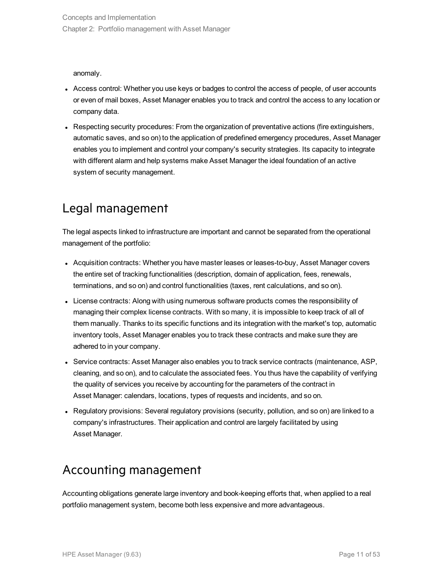anomaly.

- Access control: Whether you use keys or badges to control the access of people, of user accounts or even of mail boxes, Asset Manager enables you to track and control the access to any location or company data.
- Respecting security procedures: From the organization of preventative actions (fire extinguishers, automatic saves, and so on) to the application of predefined emergency procedures, Asset Manager enables you to implement and control your company's security strategies. Its capacity to integrate with different alarm and help systems make Asset Manager the ideal foundation of an active system of security management.

### <span id="page-10-0"></span>Legal management

The legal aspects linked to infrastructure are important and cannot be separated from the operational management of the portfolio:

- Acquisition contracts: Whether you have master leases or leases-to-buy, Asset Manager covers the entire set of tracking functionalities (description, domain of application, fees, renewals, terminations, and so on) and control functionalities (taxes, rent calculations, and so on).
- License contracts: Along with using numerous software products comes the responsibility of managing their complex license contracts. With so many, it is impossible to keep track of all of them manually. Thanks to its specific functions and its integration with the market's top, automatic inventory tools, Asset Manager enables you to track these contracts and make sure they are adhered to in your company.
- <sup>l</sup> Service contracts: Asset Manager also enables you to track service contracts (maintenance, ASP, cleaning, and so on), and to calculate the associated fees. You thus have the capability of verifying the quality of services you receive by accounting for the parameters of the contract in Asset Manager: calendars, locations, types of requests and incidents, and so on.
- Regulatory provisions: Several regulatory provisions (security, pollution, and so on) are linked to a company's infrastructures. Their application and control are largely facilitated by using Asset Manager.

## <span id="page-10-1"></span>Accounting management

Accounting obligations generate large inventory and book-keeping efforts that, when applied to a real portfolio management system, become both less expensive and more advantageous.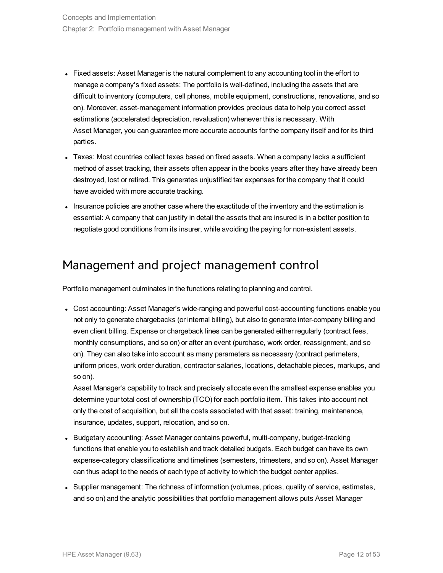- Fixed assets: Asset Manager is the natural complement to any accounting tool in the effort to manage a company's fixed assets: The portfolio is well-defined, including the assets that are difficult to inventory (computers, cell phones, mobile equipment, constructions, renovations, and so on). Moreover, asset-management information provides precious data to help you correct asset estimations (accelerated depreciation, revaluation) whenever this is necessary. With Asset Manager, you can guarantee more accurate accounts for the company itself and for its third parties.
- Taxes: Most countries collect taxes based on fixed assets. When a company lacks a sufficient method of asset tracking, their assets often appear in the books years after they have already been destroyed, lost or retired. This generates unjustified tax expenses for the company that it could have avoided with more accurate tracking.
- Insurance policies are another case where the exactitude of the inventory and the estimation is essential: A company that can justify in detail the assets that are insured is in a better position to negotiate good conditions from its insurer, while avoiding the paying for non-existent assets.

### <span id="page-11-0"></span>Management and project management control

Portfolio management culminates in the functions relating to planning and control.

• Cost accounting: Asset Manager's wide-ranging and powerful cost-accounting functions enable you not only to generate chargebacks (or internal billing), but also to generate inter-company billing and even client billing. Expense or chargeback lines can be generated either regularly (contract fees, monthly consumptions, and so on) or after an event (purchase, work order, reassignment, and so on). They can also take into account as many parameters as necessary (contract perimeters, uniform prices, work order duration, contractor salaries, locations, detachable pieces, markups, and so on).

Asset Manager's capability to track and precisely allocate even the smallest expense enables you determine your total cost of ownership (TCO) for each portfolio item. This takes into account not only the cost of acquisition, but all the costs associated with that asset: training, maintenance, insurance, updates, support, relocation, and so on.

- Budgetary accounting: Asset Manager contains powerful, multi-company, budget-tracking functions that enable you to establish and track detailed budgets. Each budget can have its own expense-category classifications and timelines (semesters, trimesters, and so on). Asset Manager can thus adapt to the needs of each type of activity to which the budget center applies.
- Supplier management: The richness of information (volumes, prices, quality of service, estimates, and so on) and the analytic possibilities that portfolio management allows puts Asset Manager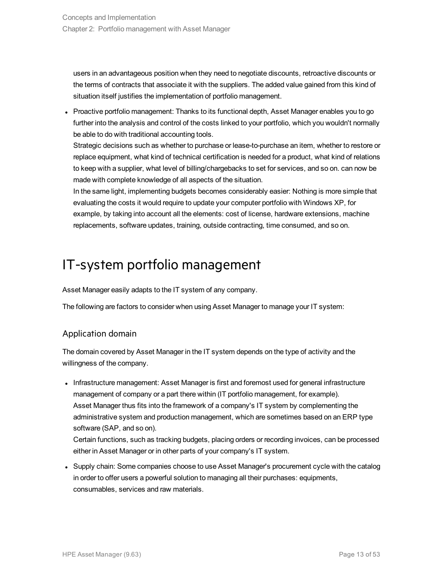users in an advantageous position when they need to negotiate discounts, retroactive discounts or the terms of contracts that associate it with the suppliers. The added value gained from this kind of situation itself justifies the implementation of portfolio management.

• Proactive portfolio management: Thanks to its functional depth, Asset Manager enables you to go further into the analysis and control of the costs linked to your portfolio, which you wouldn't normally be able to do with traditional accounting tools.

Strategic decisions such as whether to purchase or lease-to-purchase an item, whether to restore or replace equipment, what kind of technical certification is needed for a product, what kind of relations to keep with a supplier, what level of billing/chargebacks to set for services, and so on. can now be made with complete knowledge of all aspects of the situation.

In the same light, implementing budgets becomes considerably easier: Nothing is more simple that evaluating the costs it would require to update your computer portfolio with Windows XP, for example, by taking into account all the elements: cost of license, hardware extensions, machine replacements, software updates, training, outside contracting, time consumed, and so on.

## <span id="page-12-0"></span>IT-system portfolio management

Asset Manager easily adapts to the IT system of any company.

The following are factors to consider when using Asset Manager to manage your IT system:

### Application domain

The domain covered by Asset Manager in the IT system depends on the type of activity and the willingness of the company.

• Infrastructure management: Asset Manager is first and foremost used for general infrastructure management of company or a part there within (IT portfolio management, for example). Asset Manager thus fits into the framework of a company's IT system by complementing the administrative system and production management, which are sometimes based on an ERP type software (SAP, and so on).

Certain functions, such as tracking budgets, placing orders or recording invoices, can be processed either in Asset Manager or in other parts of your company's IT system.

• Supply chain: Some companies choose to use Asset Manager's procurement cycle with the catalog in order to offer users a powerful solution to managing all their purchases: equipments, consumables, services and raw materials.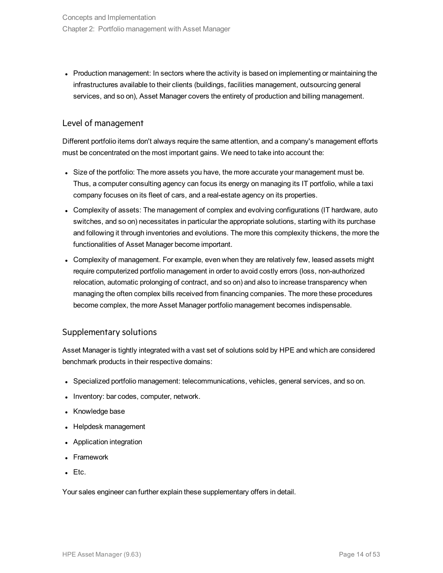• Production management: In sectors where the activity is based on implementing or maintaining the infrastructures available to their clients (buildings, facilities management, outsourcing general services, and so on), Asset Manager covers the entirety of production and billing management.

### Level of management

Different portfolio items don't always require the same attention, and a company's management efforts must be concentrated on the most important gains. We need to take into account the:

- Size of the portfolio: The more assets you have, the more accurate your management must be. Thus, a computer consulting agency can focus its energy on managing its IT portfolio, while a taxi company focuses on its fleet of cars, and a real-estate agency on its properties.
- Complexity of assets: The management of complex and evolving configurations (IT hardware, auto switches, and so on) necessitates in particular the appropriate solutions, starting with its purchase and following it through inventories and evolutions. The more this complexity thickens, the more the functionalities of Asset Manager become important.
- Complexity of management. For example, even when they are relatively few, leased assets might require computerized portfolio management in order to avoid costly errors (loss, non-authorized relocation, automatic prolonging of contract, and so on) and also to increase transparency when managing the often complex bills received from financing companies. The more these procedures become complex, the more Asset Manager portfolio management becomes indispensable.

### Supplementary solutions

Asset Manager is tightly integrated with a vast set of solutions sold by HPE and which are considered benchmark products in their respective domains:

- Specialized portfolio management: telecommunications, vehicles, general services, and so on.
- Inventory: bar codes, computer, network.
- Knowledge base
- Helpdesk management
- Application integration
- Framework
- $\blacksquare$  Etc.

Your sales engineer can further explain these supplementary offers in detail.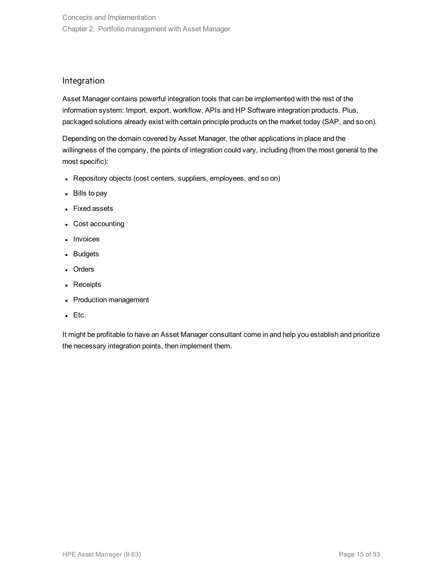### Integration

Asset Manager contains powerful integration tools that can be implemented with the rest of the information system: Import, export, workflow, APIs and HP Software integration products. Plus, packaged solutions already exist with certain principle products on the market today (SAP, and so on).

Depending on the domain covered by Asset Manager, the other applications in place and the willingness of the company, the points of integration could vary, including (from the most general to the most specific):

- Repository objects (cost centers, suppliers, employees, and so on)
- $\bullet$  Bills to pay
- Fixed assets
- Cost accounting
- Invoices
- Budgets
- Orders
- Receipts
- Production management
- $\bullet$  Etc.

It might be profitable to have an Asset Manager consultant come in and help you establish and prioritize the necessary integration points, then implement them.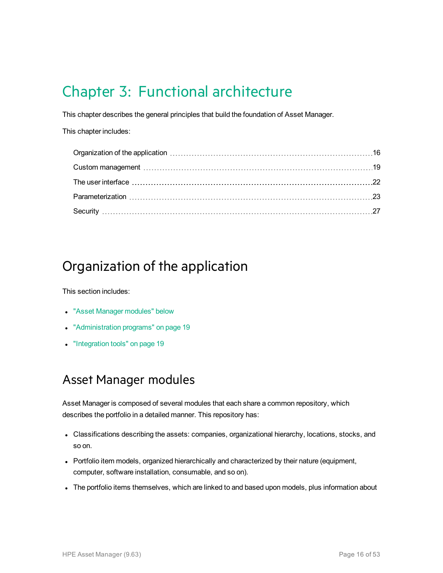## <span id="page-15-0"></span>Chapter 3: Functional architecture

This chapter describes the general principles that build the foundation of Asset Manager.

This chapter includes:

## <span id="page-15-1"></span>Organization of the application

This section includes:

- ["Asset Manager](#page-15-2) modules" below
- ["Administration](#page-18-0) programs" on page 19
- <span id="page-15-2"></span>• ["Integration](#page-18-1) tools" on page 19

### Asset Manager modules

Asset Manager is composed of several modules that each share a common repository, which describes the portfolio in a detailed manner. This repository has:

- Classifications describing the assets: companies, organizational hierarchy, locations, stocks, and so on.
- Portfolio item models, organized hierarchically and characterized by their nature (equipment, computer, software installation, consumable, and so on).
- The portfolio items themselves, which are linked to and based upon models, plus information about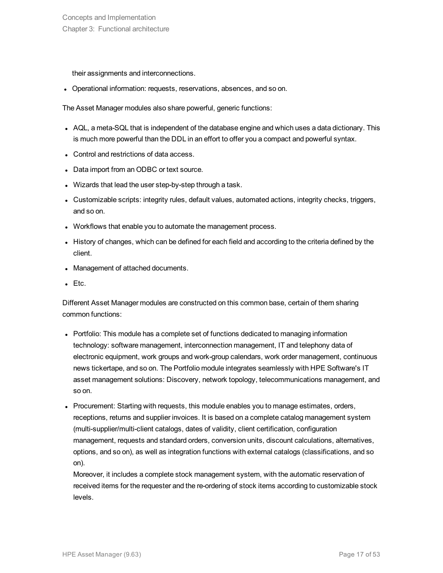their assignments and interconnections.

• Operational information: requests, reservations, absences, and so on.

The Asset Manager modules also share powerful, generic functions:

- AQL, a meta-SQL that is independent of the database engine and which uses a data dictionary. This is much more powerful than the DDL in an effort to offer you a compact and powerful syntax.
- Control and restrictions of data access.
- Data import from an ODBC or text source.
- Wizards that lead the user step-by-step through a task.
- Customizable scripts: integrity rules, default values, automated actions, integrity checks, triggers, and so on.
- Workflows that enable you to automate the management process.
- I History of changes, which can be defined for each field and according to the criteria defined by the client.
- Management of attached documents.
- $\bullet$  Etc.

Different Asset Manager modules are constructed on this common base, certain of them sharing common functions:

- Portfolio: This module has a complete set of functions dedicated to managing information technology: software management, interconnection management, IT and telephony data of electronic equipment, work groups and work-group calendars, work order management, continuous news tickertape, and so on. The Portfolio module integrates seamlessly with HPE Software's IT asset management solutions: Discovery, network topology, telecommunications management, and so on.
- Procurement: Starting with requests, this module enables you to manage estimates, orders, receptions, returns and supplier invoices. It is based on a complete catalog management system (multi-supplier/multi-client catalogs, dates of validity, client certification, configuration management, requests and standard orders, conversion units, discount calculations, alternatives, options, and so on), as well as integration functions with external catalogs (classifications, and so on).

Moreover, it includes a complete stock management system, with the automatic reservation of received items for the requester and the re-ordering of stock items according to customizable stock levels.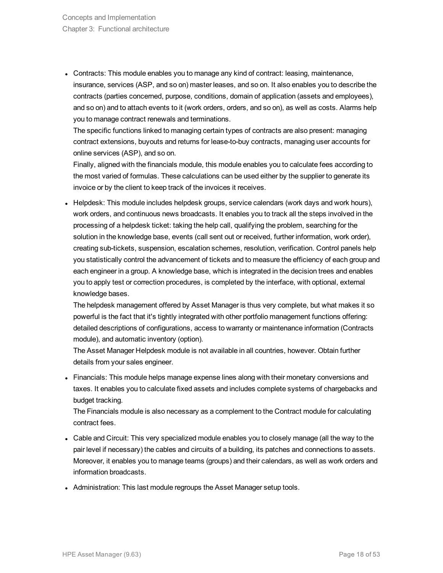• Contracts: This module enables you to manage any kind of contract: leasing, maintenance, insurance, services (ASP, and so on) master leases, and so on. It also enables you to describe the contracts (parties concerned, purpose, conditions, domain of application (assets and employees), and so on) and to attach events to it (work orders, orders, and so on), as well as costs. Alarms help you to manage contract renewals and terminations.

The specific functions linked to managing certain types of contracts are also present: managing contract extensions, buyouts and returns for lease-to-buy contracts, managing user accounts for online services (ASP), and so on.

Finally, aligned with the financials module, this module enables you to calculate fees according to the most varied of formulas. These calculations can be used either by the supplier to generate its invoice or by the client to keep track of the invoices it receives.

• Helpdesk: This module includes helpdesk groups, service calendars (work days and work hours), work orders, and continuous news broadcasts. It enables you to track all the steps involved in the processing of a helpdesk ticket: taking the help call, qualifying the problem, searching for the solution in the knowledge base, events (call sent out or received, further information, work order), creating sub-tickets, suspension, escalation schemes, resolution, verification. Control panels help you statistically control the advancement of tickets and to measure the efficiency of each group and each engineer in a group. A knowledge base, which is integrated in the decision trees and enables you to apply test or correction procedures, is completed by the interface, with optional, external knowledge bases.

The helpdesk management offered by Asset Manager is thus very complete, but what makes it so powerful is the fact that it's tightly integrated with other portfolio management functions offering: detailed descriptions of configurations, access to warranty or maintenance information (Contracts module), and automatic inventory (option).

The Asset Manager Helpdesk module is not available in all countries, however. Obtain further details from your sales engineer.

• Financials: This module helps manage expense lines along with their monetary conversions and taxes. It enables you to calculate fixed assets and includes complete systems of chargebacks and budget tracking.

The Financials module is also necessary as a complement to the Contract module for calculating contract fees.

- Cable and Circuit: This very specialized module enables you to closely manage (all the way to the pair level if necessary) the cables and circuits of a building, its patches and connections to assets. Moreover, it enables you to manage teams (groups) and their calendars, as well as work orders and information broadcasts.
- Administration: This last module regroups the Asset Manager setup tools.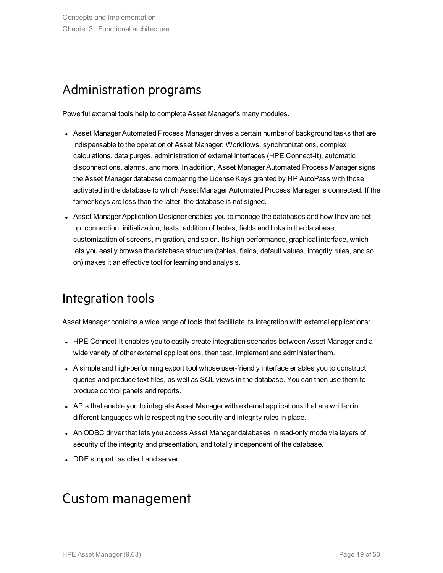### <span id="page-18-0"></span>Administration programs

Powerful external tools help to complete Asset Manager's many modules.

- Asset Manager Automated Process Manager drives a certain number of background tasks that are indispensable to the operation of Asset Manager: Workflows, synchronizations, complex calculations, data purges, administration of external interfaces (HPE Connect-It), automatic disconnections, alarms, and more. In addition, Asset Manager Automated Process Manager signs the Asset Manager database comparing the License Keys granted by HP AutoPass with those activated in the database to which Asset Manager Automated Process Manager is connected. If the former keys are less than the latter, the database is not signed.
- Asset Manager Application Designer enables you to manage the databases and how they are set up: connection, initialization, tests, addition of tables, fields and links in the database, customization of screens, migration, and so on. Its high-performance, graphical interface, which lets you easily browse the database structure (tables, fields, default values, integrity rules, and so on) makes it an effective tool for learning and analysis.

### <span id="page-18-1"></span>Integration tools

Asset Manager contains a wide range of tools that facilitate its integration with external applications:

- HPE Connect-It enables you to easily create integration scenarios between Asset Manager and a wide variety of other external applications, then test, implement and administer them.
- A simple and high-performing export tool whose user-friendly interface enables you to construct queries and produce text files, as well as SQL views in the database. You can then use them to produce control panels and reports.
- APIs that enable you to integrate Asset Manager with external applications that are written in different languages while respecting the security and integrity rules in place.
- An ODBC driver that lets you access Asset Manager databases in read-only mode via layers of security of the integrity and presentation, and totally independent of the database.
- <span id="page-18-2"></span>• DDE support, as client and server

## Custom management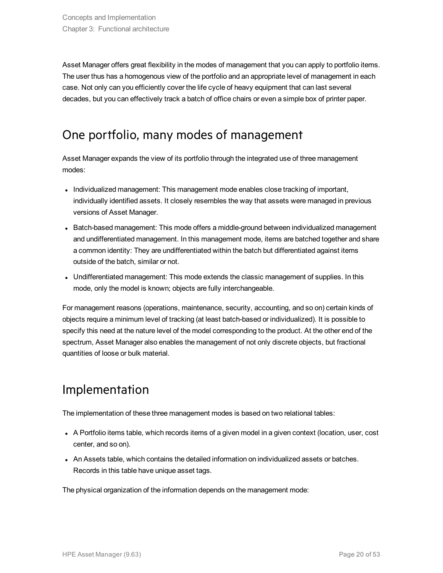Asset Manager offers great flexibility in the modes of management that you can apply to portfolio items. The user thus has a homogenous view of the portfolio and an appropriate level of management in each case. Not only can you efficiently cover the life cycle of heavy equipment that can last several decades, but you can effectively track a batch of office chairs or even a simple box of printer paper.

### <span id="page-19-0"></span>One portfolio, many modes of management

Asset Manager expands the view of its portfolio through the integrated use of three management modes:

- Individualized management: This management mode enables close tracking of important, individually identified assets. It closely resembles the way that assets were managed in previous versions of Asset Manager.
- Batch-based management: This mode offers a middle-ground between individualized management and undifferentiated management. In this management mode, items are batched together and share a common identity: They are undifferentiated within the batch but differentiated against items outside of the batch, similar or not.
- Undifferentiated management: This mode extends the classic management of supplies. In this mode, only the model is known; objects are fully interchangeable.

For management reasons (operations, maintenance, security, accounting, and so on) certain kinds of objects require a minimum level of tracking (at least batch-based or individualized). It is possible to specify this need at the nature level of the model corresponding to the product. At the other end of the spectrum, Asset Manager also enables the management of not only discrete objects, but fractional quantities of loose or bulk material.

## <span id="page-19-1"></span>Implementation

The implementation of these three management modes is based on two relational tables:

- A Portfolio items table, which records items of a given model in a given context (location, user, cost center, and so on).
- An Assets table, which contains the detailed information on individualized assets or batches. Records in this table have unique asset tags.

The physical organization of the information depends on the management mode: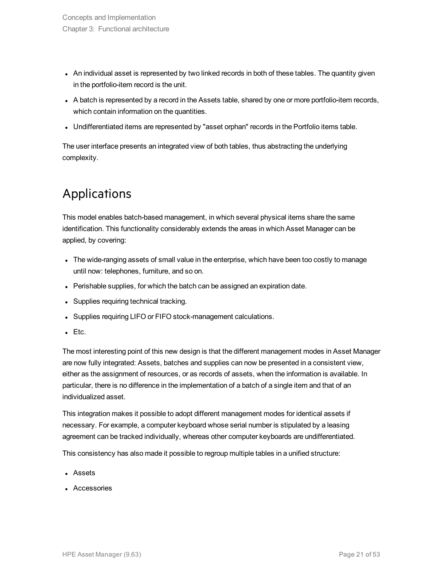- An individual asset is represented by two linked records in both of these tables. The quantity given in the portfolio-item record is the unit.
- A batch is represented by a record in the Assets table, shared by one or more portfolio-item records, which contain information on the quantities.
- Undifferentiated items are represented by "asset orphan" records in the Portfolio items table.

<span id="page-20-0"></span>The user interface presents an integrated view of both tables, thus abstracting the underlying complexity.

## Applications

This model enables batch-based management, in which several physical items share the same identification. This functionality considerably extends the areas in which Asset Manager can be applied, by covering:

- The wide-ranging assets of small value in the enterprise, which have been too costly to manage until now: telephones, furniture, and so on.
- Perishable supplies, for which the batch can be assigned an expiration date.
- Supplies requiring technical tracking.
- Supplies requiring LIFO or FIFO stock-management calculations.
- $\blacksquare$  Etc.

The most interesting point of this new design is that the different management modes in Asset Manager are now fully integrated: Assets, batches and supplies can now be presented in a consistent view, either as the assignment of resources, or as records of assets, when the information is available. In particular, there is no difference in the implementation of a batch of a single item and that of an individualized asset.

This integration makes it possible to adopt different management modes for identical assets if necessary. For example, a computer keyboard whose serial number is stipulated by a leasing agreement can be tracked individually, whereas other computer keyboards are undifferentiated.

This consistency has also made it possible to regroup multiple tables in a unified structure:

- Assets
- Accessories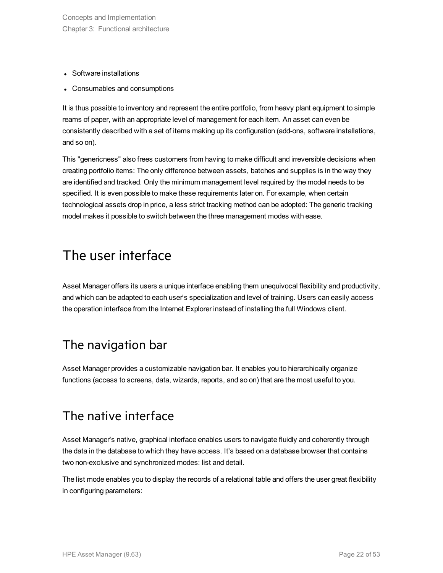- Software installations
- Consumables and consumptions

It is thus possible to inventory and represent the entire portfolio, from heavy plant equipment to simple reams of paper, with an appropriate level of management for each item. An asset can even be consistently described with a set of items making up its configuration (add-ons, software installations, and so on).

This "genericness" also frees customers from having to make difficult and irreversible decisions when creating portfolio items: The only difference between assets, batches and supplies is in the way they are identified and tracked. Only the minimum management level required by the model needs to be specified. It is even possible to make these requirements later on. For example, when certain technological assets drop in price, a less strict tracking method can be adopted: The generic tracking model makes it possible to switch between the three management modes with ease.

## <span id="page-21-0"></span>The user interface

Asset Manager offers its users a unique interface enabling them unequivocal flexibility and productivity, and which can be adapted to each user's specialization and level of training. Users can easily access the operation interface from the Internet Explorer instead of installing the full Windows client.

### <span id="page-21-1"></span>The navigation bar

<span id="page-21-2"></span>Asset Manager provides a customizable navigation bar. It enables you to hierarchically organize functions (access to screens, data, wizards, reports, and so on) that are the most useful to you.

### The native interface

Asset Manager's native, graphical interface enables users to navigate fluidly and coherently through the data in the database to which they have access. It's based on a database browser that contains two non-exclusive and synchronized modes: list and detail.

The list mode enables you to display the records of a relational table and offers the user great flexibility in configuring parameters: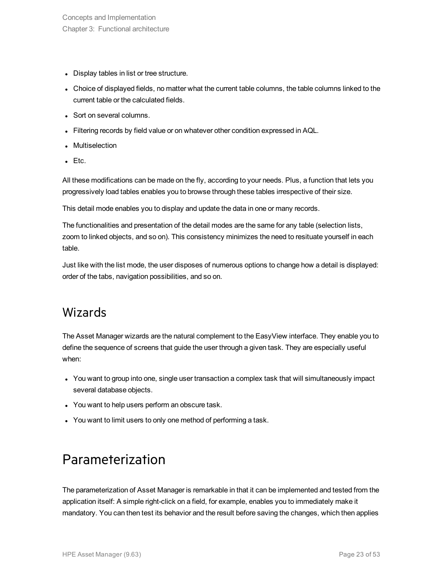- Display tables in list or tree structure.
- Choice of displayed fields, no matter what the current table columns, the table columns linked to the current table or the calculated fields.
- Sort on several columns.
- Filtering records by field value or on whatever other condition expressed in AQL.
- Multiselection
- $E$  Etc.

All these modifications can be made on the fly, according to your needs. Plus, a function that lets you progressively load tables enables you to browse through these tables irrespective of their size.

This detail mode enables you to display and update the data in one or many records.

The functionalities and presentation of the detail modes are the same for any table (selection lists, zoom to linked objects, and so on). This consistency minimizes the need to resituate yourself in each table.

<span id="page-22-0"></span>Just like with the list mode, the user disposes of numerous options to change how a detail is displayed: order of the tabs, navigation possibilities, and so on.

### Wizards

The Asset Manager wizards are the natural complement to the EasyView interface. They enable you to define the sequence of screens that guide the user through a given task. They are especially useful when:

- You want to group into one, single user transaction a complex task that will simultaneously impact several database objects.
- You want to help users perform an obscure task.
- <span id="page-22-1"></span>• You want to limit users to only one method of performing a task.

## Parameterization

The parameterization of Asset Manager is remarkable in that it can be implemented and tested from the application itself: A simple right-click on a field, for example, enables you to immediately make it mandatory. You can then test its behavior and the result before saving the changes, which then applies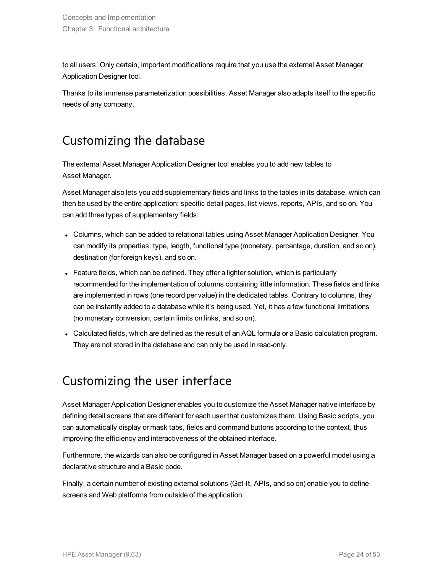to all users. Only certain, important modifications require that you use the external Asset Manager Application Designer tool.

<span id="page-23-0"></span>Thanks to its immense parameterization possibilities, Asset Manager also adapts itself to the specific needs of any company.

## Customizing the database

The external Asset Manager Application Designer tool enables you to add new tables to Asset Manager.

Asset Manager also lets you add supplementary fields and links to the tables in its database, which can then be used by the entire application: specific detail pages, list views, reports, APIs, and so on. You can add three types of supplementary fields:

- Columns, which can be added to relational tables using Asset Manager Application Designer. You can modify its properties: type, length, functional type (monetary, percentage, duration, and so on), destination (for foreign keys), and so on.
- Feature fields, which can be defined. They offer a lighter solution, which is particularly recommended for the implementation of columns containing little information. These fields and links are implemented in rows (one record per value) in the dedicated tables. Contrary to columns, they can be instantly added to a database while it's being used. Yet, it has a few functional limitations (no monetary conversion, certain limits on links, and so on).
- <span id="page-23-1"></span>• Calculated fields, which are defined as the result of an AQL formula or a Basic calculation program. They are not stored in the database and can only be used in read-only.

## Customizing the user interface

Asset Manager Application Designer enables you to customize the Asset Manager native interface by defining detail screens that are different for each user that customizes them. Using Basic scripts, you can automatically display or mask tabs, fields and command buttons according to the context, thus improving the efficiency and interactiveness of the obtained interface.

Furthermore, the wizards can also be configured in Asset Manager based on a powerful model using a declarative structure and a Basic code.

Finally, a certain number of existing external solutions (Get-It, APIs, and so on) enable you to define screens and Web platforms from outside of the application.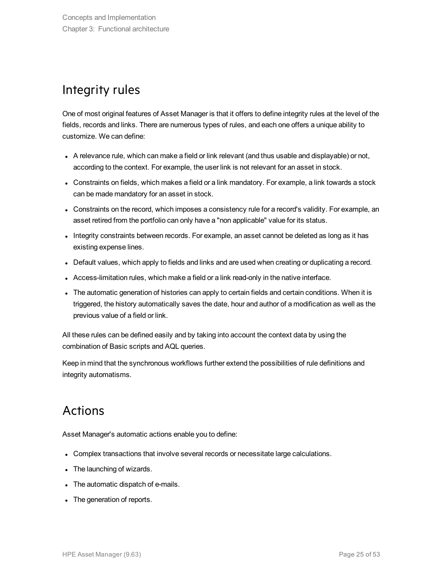## <span id="page-24-0"></span>Integrity rules

One of most original features of Asset Manager is that it offers to define integrity rules at the level of the fields, records and links. There are numerous types of rules, and each one offers a unique ability to customize. We can define:

- A relevance rule, which can make a field or link relevant (and thus usable and displayable) or not, according to the context. For example, the user link is not relevant for an asset in stock.
- Constraints on fields, which makes a field or a link mandatory. For example, a link towards a stock can be made mandatory for an asset in stock.
- Constraints on the record, which imposes a consistency rule for a record's validity. For example, an asset retired from the portfolio can only have a "non applicable" value for its status.
- Integrity constraints between records. For example, an asset cannot be deleted as long as it has existing expense lines.
- Default values, which apply to fields and links and are used when creating or duplicating a record.
- Access-limitation rules, which make a field or a link read-only in the native interface.
- The automatic generation of histories can apply to certain fields and certain conditions. When it is triggered, the history automatically saves the date, hour and author of a modification as well as the previous value of a field or link.

All these rules can be defined easily and by taking into account the context data by using the combination of Basic scripts and AQL queries.

<span id="page-24-1"></span>Keep in mind that the synchronous workflows further extend the possibilities of rule definitions and integrity automatisms.

### Actions

Asset Manager's automatic actions enable you to define:

- Complex transactions that involve several records or necessitate large calculations.
- The launching of wizards.
- The automatic dispatch of e-mails.
- The generation of reports.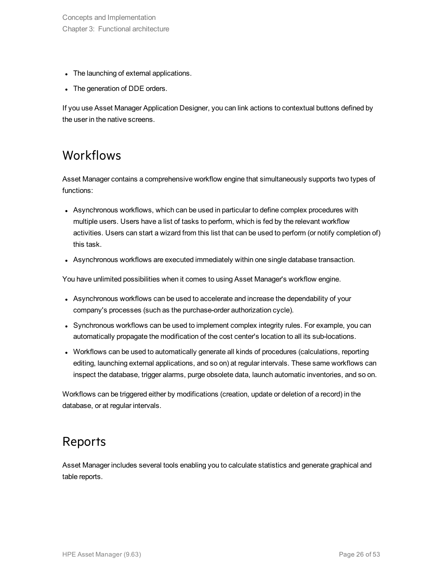- The launching of external applications.
- The generation of DDE orders.

<span id="page-25-0"></span>If you use Asset Manager Application Designer, you can link actions to contextual buttons defined by the user in the native screens.

### **Workflows**

Asset Manager contains a comprehensive workflow engine that simultaneously supports two types of functions:

- Asynchronous workflows, which can be used in particular to define complex procedures with multiple users. Users have a list of tasks to perform, which is fed by the relevant workflow activities. Users can start a wizard from this list that can be used to perform (or notify completion of) this task.
- Asynchronous workflows are executed immediately within one single database transaction.

You have unlimited possibilities when it comes to using Asset Manager's workflow engine.

- Asynchronous workflows can be used to accelerate and increase the dependability of your company's processes (such as the purchase-order authorization cycle).
- Synchronous workflows can be used to implement complex integrity rules. For example, you can automatically propagate the modification of the cost center's location to all its sub-locations.
- Workflows can be used to automatically generate all kinds of procedures (calculations, reporting editing, launching external applications, and so on) at regular intervals. These same workflows can inspect the database, trigger alarms, purge obsolete data, launch automatic inventories, and so on.

<span id="page-25-1"></span>Workflows can be triggered either by modifications (creation, update or deletion of a record) in the database, or at regular intervals.

### Reports

Asset Manager includes several tools enabling you to calculate statistics and generate graphical and table reports.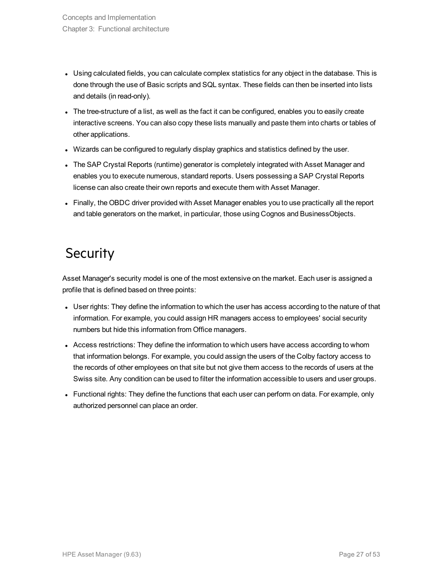- Using calculated fields, you can calculate complex statistics for any object in the database. This is done through the use of Basic scripts and SQL syntax. These fields can then be inserted into lists and details (in read-only).
- The tree-structure of a list, as well as the fact it can be configured, enables you to easily create interactive screens. You can also copy these lists manually and paste them into charts or tables of other applications.
- Wizards can be configured to regularly display graphics and statistics defined by the user.
- The SAP Crystal Reports (runtime) generator is completely integrated with Asset Manager and enables you to execute numerous, standard reports. Users possessing a SAP Crystal Reports license can also create their own reports and execute them with Asset Manager.
- <span id="page-26-0"></span>• Finally, the OBDC driver provided with Asset Manager enables you to use practically all the report and table generators on the market, in particular, those using Cognos and BusinessObjects.

## **Security**

Asset Manager's security model is one of the most extensive on the market. Each user is assigned a profile that is defined based on three points:

- User rights: They define the information to which the user has access according to the nature of that information. For example, you could assign HR managers access to employees' social security numbers but hide this information from Office managers.
- Access restrictions: They define the information to which users have access according to whom that information belongs. For example, you could assign the users of the Colby factory access to the records of other employees on that site but not give them access to the records of users at the Swiss site. Any condition can be used to filter the information accessible to users and user groups.
- Functional rights: They define the functions that each user can perform on data. For example, only authorized personnel can place an order.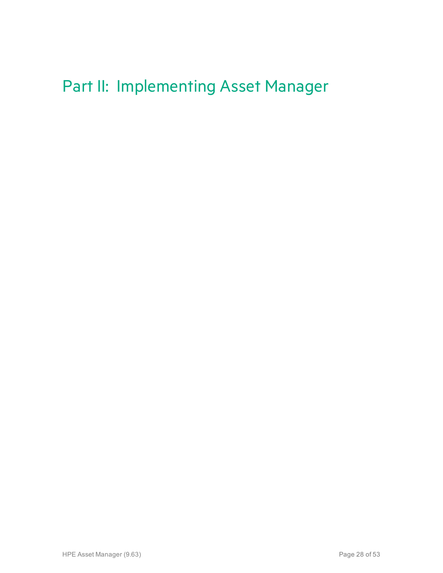## <span id="page-27-0"></span>Part II: Implementing Asset Manager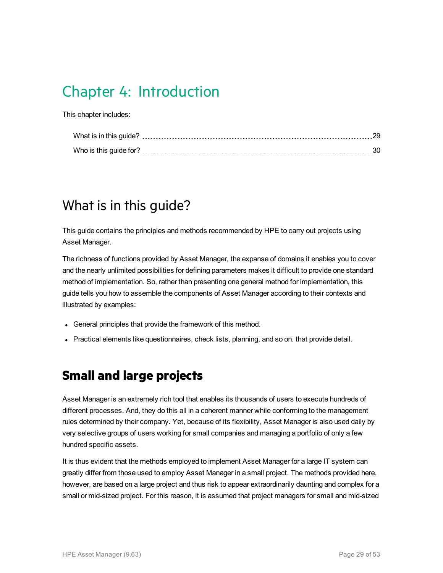## <span id="page-28-0"></span>Chapter 4: Introduction

This chapter includes:

## <span id="page-28-1"></span>What is in this guide?

This guide contains the principles and methods recommended by HPE to carry out projects using Asset Manager.

The richness of functions provided by Asset Manager, the expanse of domains it enables you to cover and the nearly unlimited possibilities for defining parameters makes it difficult to provide one standard method of implementation. So, rather than presenting one general method for implementation, this guide tells you how to assemble the components of Asset Manager according to their contexts and illustrated by examples:

- General principles that provide the framework of this method.
- <span id="page-28-2"></span>• Practical elements like questionnaires, check lists, planning, and so on. that provide detail.

### **Small and large projects**

Asset Manager is an extremely rich tool that enables its thousands of users to execute hundreds of different processes. And, they do this all in a coherent manner while conforming to the management rules determined by their company. Yet, because of its flexibility, Asset Manager is also used daily by very selective groups of users working for small companies and managing a portfolio of only a few hundred specific assets.

It is thus evident that the methods employed to implement Asset Manager for a large IT system can greatly differ from those used to employ Asset Manager in a small project. The methods provided here, however, are based on a large project and thus risk to appear extraordinarily daunting and complex for a small or mid-sized project. For this reason, it is assumed that project managers for small and mid-sized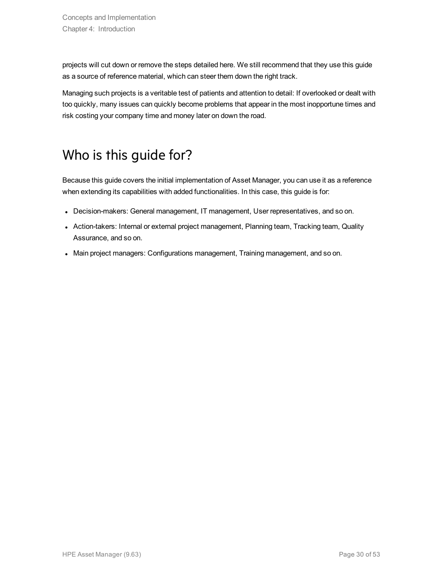projects will cut down or remove the steps detailed here. We still recommend that they use this guide as a source of reference material, which can steer them down the right track.

Managing such projects is a veritable test of patients and attention to detail: If overlooked or dealt with too quickly, many issues can quickly become problems that appear in the most inopportune times and risk costing your company time and money later on down the road.

## <span id="page-29-0"></span>Who is this guide for?

Because this guide covers the initial implementation of Asset Manager, you can use it as a reference when extending its capabilities with added functionalities. In this case, this guide is for:

- Decision-makers: General management, IT management, User representatives, and so on.
- Action-takers: Internal or external project management, Planning team, Tracking team, Quality Assurance, and so on.
- <sup>l</sup> Main project managers: Configurations management, Training management, and so on.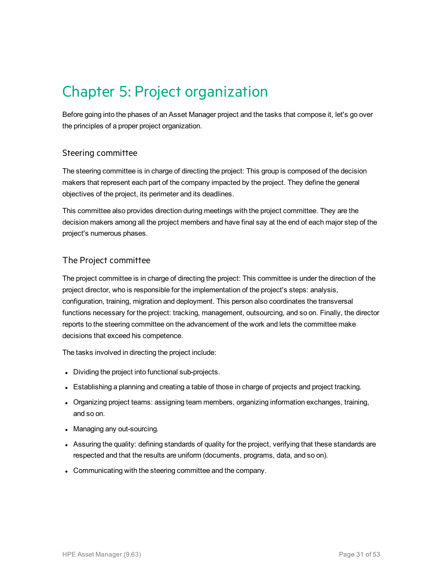## <span id="page-30-0"></span>Chapter 5: Project organization

Before going into the phases of an Asset Manager project and the tasks that compose it, let's go over the principles of a proper project organization.

### Steering committee

The steering committee is in charge of directing the project: This group is composed of the decision makers that represent each part of the company impacted by the project. They define the general objectives of the project, its perimeter and its deadlines.

This committee also provides direction during meetings with the project committee. They are the decision makers among all the project members and have final say at the end of each major step of the project's numerous phases.

### The Project committee

The project committee is in charge of directing the project: This committee is under the direction of the project director, who is responsible for the implementation of the project's steps: analysis, configuration, training, migration and deployment. This person also coordinates the transversal functions necessary for the project: tracking, management, outsourcing, and so on. Finally, the director reports to the steering committee on the advancement of the work and lets the committee make decisions that exceed his competence.

The tasks involved in directing the project include:

- Dividing the project into functional sub-projects.
- Establishing a planning and creating a table of those in charge of projects and project tracking.
- Organizing project teams: assigning team members, organizing information exchanges, training, and so on.
- Managing any out-sourcing.
- Assuring the quality: defining standards of quality for the project, verifying that these standards are respected and that the results are uniform (documents, programs, data, and so on).
- Communicating with the steering committee and the company.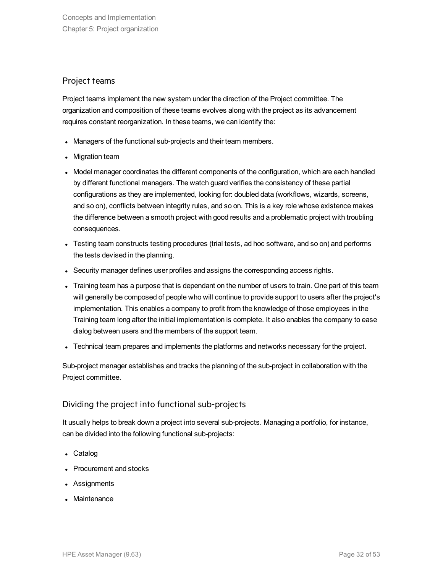### Project teams

Project teams implement the new system under the direction of the Project committee. The organization and composition of these teams evolves along with the project as its advancement requires constant reorganization. In these teams, we can identify the:

- Managers of the functional sub-projects and their team members.
- Migration team
- Model manager coordinates the different components of the configuration, which are each handled by different functional managers. The watch guard verifies the consistency of these partial configurations as they are implemented, looking for: doubled data (workflows, wizards, screens, and so on), conflicts between integrity rules, and so on. This is a key role whose existence makes the difference between a smooth project with good results and a problematic project with troubling consequences.
- Testing team constructs testing procedures (trial tests, ad hoc software, and so on) and performs the tests devised in the planning.
- Security manager defines user profiles and assigns the corresponding access rights.
- Training team has a purpose that is dependant on the number of users to train. One part of this team will generally be composed of people who will continue to provide support to users after the project's implementation. This enables a company to profit from the knowledge of those employees in the Training team long after the initial implementation is complete. It also enables the company to ease dialog between users and the members of the support team.
- Technical team prepares and implements the platforms and networks necessary for the project.

Sub-project manager establishes and tracks the planning of the sub-project in collaboration with the Project committee.

### Dividing the project into functional sub-projects

It usually helps to break down a project into several sub-projects. Managing a portfolio, for instance, can be divided into the following functional sub-projects:

- Catalog
- Procurement and stocks
- Assignments
- Maintenance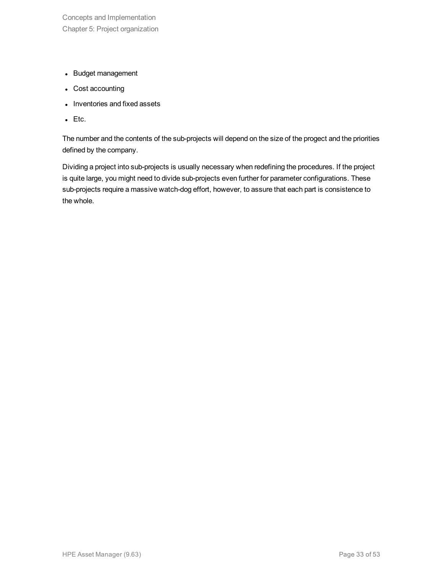- Budget management
- Cost accounting
- Inventories and fixed assets
- $\cdot$  Etc.

The number and the contents of the sub-projects will depend on the size of the progect and the priorities defined by the company.

Dividing a project into sub-projects is usually necessary when redefining the procedures. If the project is quite large, you might need to divide sub-projects even further for parameter configurations. These sub-projects require a massive watch-dog effort, however, to assure that each part is consistence to the whole.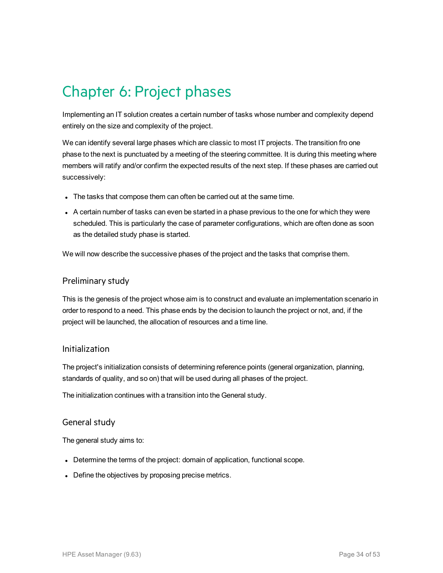## <span id="page-33-0"></span>Chapter 6: Project phases

Implementing an IT solution creates a certain number of tasks whose number and complexity depend entirely on the size and complexity of the project.

We can identify several large phases which are classic to most IT projects. The transition fro one phase to the next is punctuated by a meeting of the steering committee. It is during this meeting where members will ratify and/or confirm the expected results of the next step. If these phases are carried out successively:

- The tasks that compose them can often be carried out at the same time.
- $\bullet$  A certain number of tasks can even be started in a phase previous to the one for which they were scheduled. This is particularly the case of parameter configurations, which are often done as soon as the detailed study phase is started.

We will now describe the successive phases of the project and the tasks that comprise them.

#### Preliminary study

This is the genesis of the project whose aim is to construct and evaluate an implementation scenario in order to respond to a need. This phase ends by the decision to launch the project or not, and, if the project will be launched, the allocation of resources and a time line.

### Initialization

The project's initialization consists of determining reference points (general organization, planning, standards of quality, and so on) that will be used during all phases of the project.

The initialization continues with a transition into the General study.

#### General study

The general study aims to:

- Determine the terms of the project: domain of application, functional scope.
- Define the objectives by proposing precise metrics.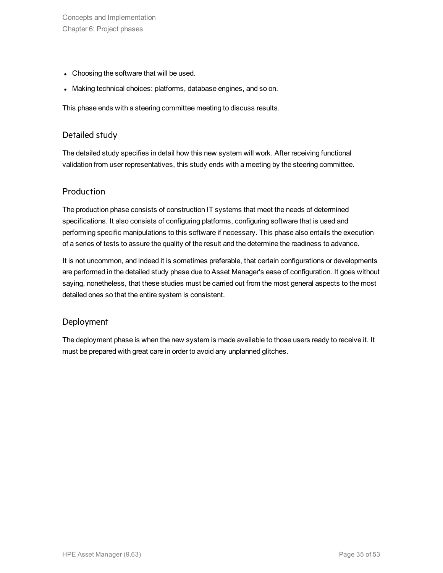Concepts and Implementation Chapter 6: Project phases

- Choosing the software that will be used.
- Making technical choices: platforms, database engines, and so on.

This phase ends with a steering committee meeting to discuss results.

### Detailed study

The detailed study specifies in detail how this new system will work. After receiving functional validation from user representatives, this study ends with a meeting by the steering committee.

### Production

The production phase consists of construction IT systems that meet the needs of determined specifications. It also consists of configuring platforms, configuring software that is used and performing specific manipulations to this software if necessary. This phase also entails the execution of a series of tests to assure the quality of the result and the determine the readiness to advance.

It is not uncommon, and indeed it is sometimes preferable, that certain configurations or developments are performed in the detailed study phase due to Asset Manager's ease of configuration. It goes without saying, nonetheless, that these studies must be carried out from the most general aspects to the most detailed ones so that the entire system is consistent.

### **Deployment**

The deployment phase is when the new system is made available to those users ready to receive it. It must be prepared with great care in order to avoid any unplanned glitches.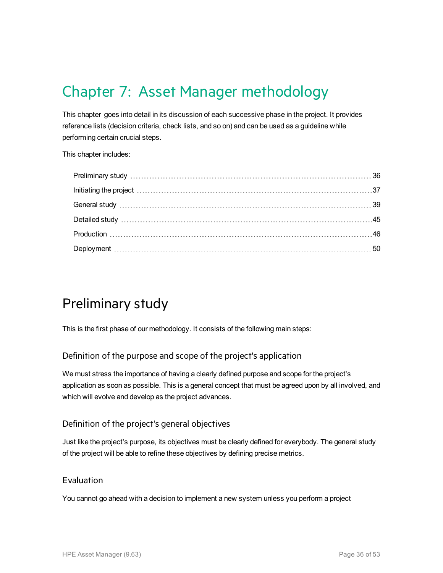## <span id="page-35-0"></span>Chapter 7: Asset Manager methodology

This chapter goes into detail in its discussion of each successive phase in the project. It provides reference lists (decision criteria, check lists, and so on) and can be used as a guideline while performing certain crucial steps.

This chapter includes:

## <span id="page-35-1"></span>Preliminary study

This is the first phase of our methodology. It consists of the following main steps:

### Definition of the purpose and scope of the project's application

We must stress the importance of having a clearly defined purpose and scope for the project's application as soon as possible. This is a general concept that must be agreed upon by all involved, and which will evolve and develop as the project advances.

### Definition of the project's general objectives

Just like the project's purpose, its objectives must be clearly defined for everybody. The general study of the project will be able to refine these objectives by defining precise metrics.

### Evaluation

You cannot go ahead with a decision to implement a new system unless you perform a project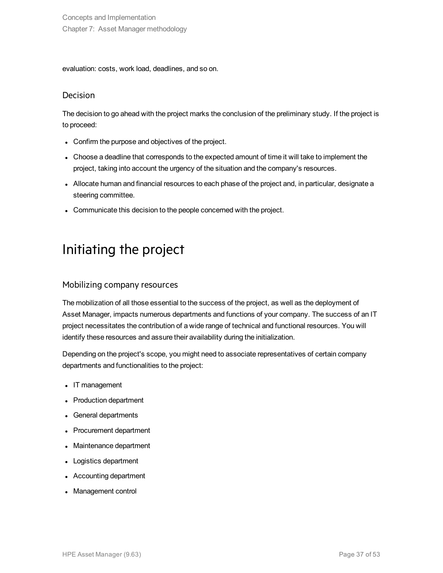evaluation: costs, work load, deadlines, and so on.

### Decision

The decision to go ahead with the project marks the conclusion of the preliminary study. If the project is to proceed:

- Confirm the purpose and objectives of the project.
- Choose a deadline that corresponds to the expected amount of time it will take to implement the project, taking into account the urgency of the situation and the company's resources.
- Allocate human and financial resources to each phase of the project and, in particular, designate a steering committee.
- <span id="page-36-0"></span>• Communicate this decision to the people concerned with the project.

## Initiating the project

### Mobilizing company resources

The mobilization of all those essential to the success of the project, as well as the deployment of Asset Manager, impacts numerous departments and functions of your company. The success of an IT project necessitates the contribution of a wide range of technical and functional resources. You will identify these resources and assure their availability during the initialization.

Depending on the project's scope, you might need to associate representatives of certain company departments and functionalities to the project:

- IT management
- Production department
- General departments
- Procurement department
- Maintenance department
- Logistics department
- Accounting department
- Management control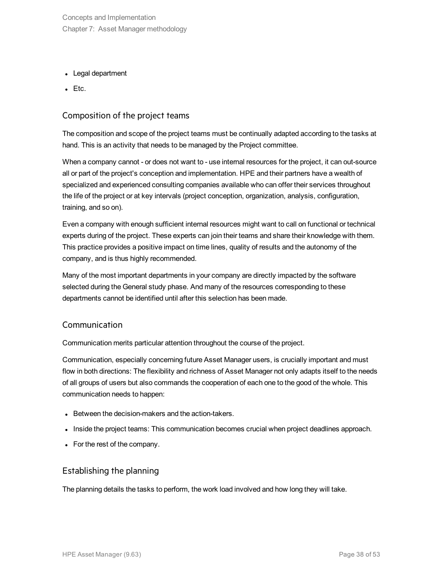Concepts and Implementation Chapter 7: Asset Manager methodology

- Legal department
- $\cdot$  Etc.

### Composition of the project teams

The composition and scope of the project teams must be continually adapted according to the tasks at hand. This is an activity that needs to be managed by the Project committee.

When a company cannot - or does not want to - use internal resources for the project, it can out-source all or part of the project's conception and implementation. HPE and their partners have a wealth of specialized and experienced consulting companies available who can offer their services throughout the life of the project or at key intervals (project conception, organization, analysis, configuration, training, and so on).

Even a company with enough sufficient internal resources might want to call on functional or technical experts during of the project. These experts can join their teams and share their knowledge with them. This practice provides a positive impact on time lines, quality of results and the autonomy of the company, and is thus highly recommended.

Many of the most important departments in your company are directly impacted by the software selected during the General study phase. And many of the resources corresponding to these departments cannot be identified until after this selection has been made.

#### Communication

Communication merits particular attention throughout the course of the project.

Communication, especially concerning future Asset Manager users, is crucially important and must flow in both directions: The flexibility and richness of Asset Manager not only adapts itself to the needs of all groups of users but also commands the cooperation of each one to the good of the whole. This communication needs to happen:

- Between the decision-makers and the action-takers.
- . Inside the project teams: This communication becomes crucial when project deadlines approach.
- For the rest of the company.

### Establishing the planning

The planning details the tasks to perform, the work load involved and how long they will take.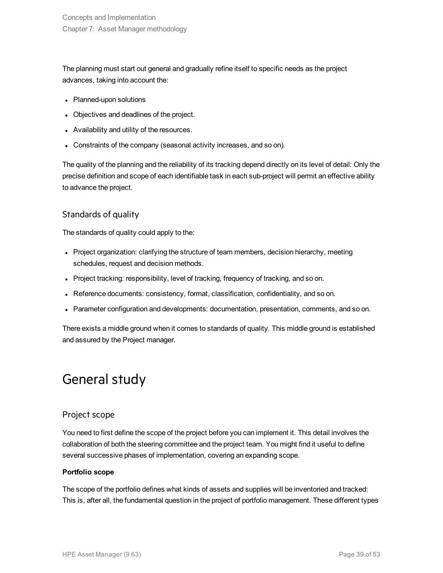The planning must start out general and gradually refine itself to specific needs as the project advances, taking into account the:

- Planned-upon solutions
- Objectives and deadlines of the project.
- Availability and utility of the resources.
- Constraints of the company (seasonal activity increases, and so on).

The quality of the planning and the reliability of its tracking depend directly on its level of detail: Only the precise definition and scope of each identifiable task in each sub-project will permit an effective ability to advance the project.

### Standards of quality

The standards of quality could apply to the:

- Project organization: clarifying the structure of team members, decision hierarchy, meeting schedules, request and decision methods.
- Project tracking: responsibility, level of tracking, frequency of tracking, and so on.
- Reference documents: consistency, format, classification, confidentiality, and so on.
- Parameter configuration and developments: documentation, presentation, comments, and so on.

<span id="page-38-0"></span>There exists a middle ground when it comes to standards of quality. This middle ground is established and assured by the Project manager.

## General study

### Project scope

You need to first define the scope of the project before you can implement it. This detail involves the collaboration of both the steering committee and the project team. You might find it useful to define several successive phases of implementation, covering an expanding scope.

#### **Portfolio scope**

The scope of the portfolio defines what kinds of assets and supplies will be inventoried and tracked: This is, after all, the fundamental question in the project of portfolio management. These different types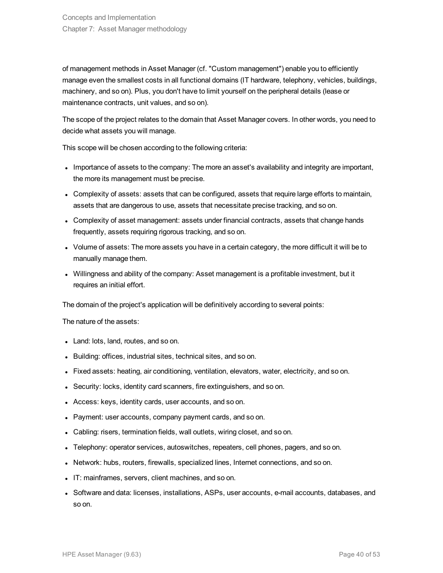of management methods in Asset Manager (cf. "Custom management") enable you to efficiently manage even the smallest costs in all functional domains (IT hardware, telephony, vehicles, buildings, machinery, and so on). Plus, you don't have to limit yourself on the peripheral details (lease or maintenance contracts, unit values, and so on).

The scope of the project relates to the domain that Asset Manager covers. In other words, you need to decide what assets you will manage.

This scope will be chosen according to the following criteria:

- Importance of assets to the company: The more an asset's availability and integrity are important, the more its management must be precise.
- Complexity of assets: assets that can be configured, assets that require large efforts to maintain, assets that are dangerous to use, assets that necessitate precise tracking, and so on.
- Complexity of asset management: assets under financial contracts, assets that change hands frequently, assets requiring rigorous tracking, and so on.
- Volume of assets: The more assets you have in a certain category, the more difficult it will be to manually manage them.
- Willingness and ability of the company: Asset management is a profitable investment, but it requires an initial effort.

The domain of the project's application will be definitively according to several points:

The nature of the assets:

- Land: lots, land, routes, and so on.
- Building: offices, industrial sites, technical sites, and so on.
- Fixed assets: heating, air conditioning, ventilation, elevators, water, electricity, and so on.
- Security: locks, identity card scanners, fire extinguishers, and so on.
- Access: keys, identity cards, user accounts, and so on.
- Payment: user accounts, company payment cards, and so on.
- Cabling: risers, termination fields, wall outlets, wiring closet, and so on.
- Telephony: operator services, autoswitches, repeaters, cell phones, pagers, and so on.
- Network: hubs, routers, firewalls, specialized lines, Internet connections, and so on.
- IT: mainframes, servers, client machines, and so on.
- Software and data: licenses, installations, ASPs, user accounts, e-mail accounts, databases, and so on.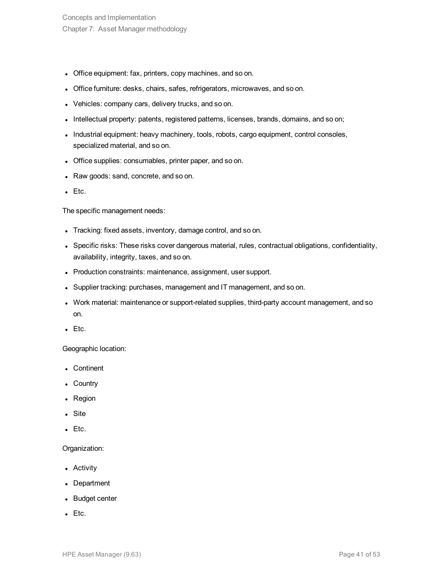- Office equipment: fax, printers, copy machines, and so on.
- Office furniture: desks, chairs, safes, refrigerators, microwaves, and so on.
- Vehicles: company cars, delivery trucks, and so on.
- Intellectual property: patents, registered patterns, licenses, brands, domains, and so on;
- Industrial equipment: heavy machinery, tools, robots, cargo equipment, control consoles, specialized material, and so on.
- Office supplies: consumables, printer paper, and so on.
- Raw goods: sand, concrete, and so on.
- $\bullet$  Etc.

The specific management needs:

- Tracking: fixed assets, inventory, damage control, and so on.
- Specific risks: These risks cover dangerous material, rules, contractual obligations, confidentiality, availability, integrity, taxes, and so on.
- Production constraints: maintenance, assignment, user support.
- Supplier tracking: purchases, management and IT management, and so on.
- Work material: maintenance or support-related supplies, third-party account management, and so on.
- $\bullet$  Etc.

Geographic location:

- Continent
- Country
- Region
- Site
- $\bullet$  Etc.

#### Organization:

- Activity
- Department
- Budget center
- $\bullet$  Etc.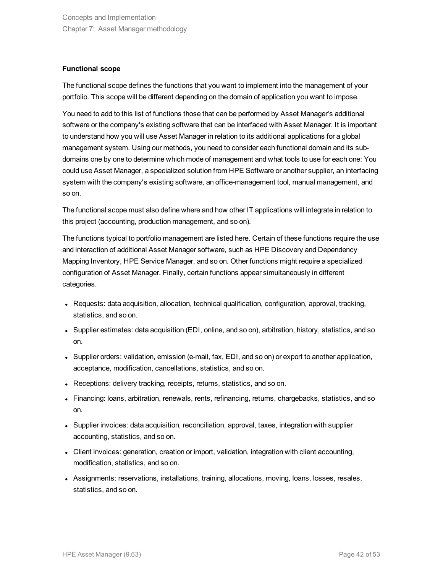#### **Functional scope**

The functional scope defines the functions that you want to implement into the management of your portfolio. This scope will be different depending on the domain of application you want to impose.

You need to add to this list of functions those that can be performed by Asset Manager's additional software or the company's existing software that can be interfaced with Asset Manager. It is important to understand how you will use Asset Manager in relation to its additional applications for a global management system. Using our methods, you need to consider each functional domain and its subdomains one by one to determine which mode of management and what tools to use for each one: You could use Asset Manager, a specialized solution from HPE Software or another supplier, an interfacing system with the company's existing software, an office-management tool, manual management, and so on.

The functional scope must also define where and how other IT applications will integrate in relation to this project (accounting, production management, and so on).

The functions typical to portfolio management are listed here. Certain of these functions require the use and interaction of additional Asset Manager software, such as HPE Discovery and Dependency Mapping Inventory, HPE Service Manager, and so on. Other functions might require a specialized configuration of Asset Manager. Finally, certain functions appear simultaneously in different categories.

- Requests: data acquisition, allocation, technical qualification, configuration, approval, tracking, statistics, and so on.
- Supplier estimates: data acquisition (EDI, online, and so on), arbitration, history, statistics, and so on.
- Supplier orders: validation, emission (e-mail, fax, EDI, and so on) or export to another application, acceptance, modification, cancellations, statistics, and so on.
- Receptions: delivery tracking, receipts, returns, statistics, and so on.
- Financing: loans, arbitration, renewals, rents, refinancing, returns, chargebacks, statistics, and so on.
- Supplier invoices: data acquisition, reconciliation, approval, taxes, integration with supplier accounting, statistics, and so on.
- Client invoices: generation, creation or import, validation, integration with client accounting, modification, statistics, and so on.
- Assignments: reservations, installations, training, allocations, moving, loans, losses, resales, statistics, and so on.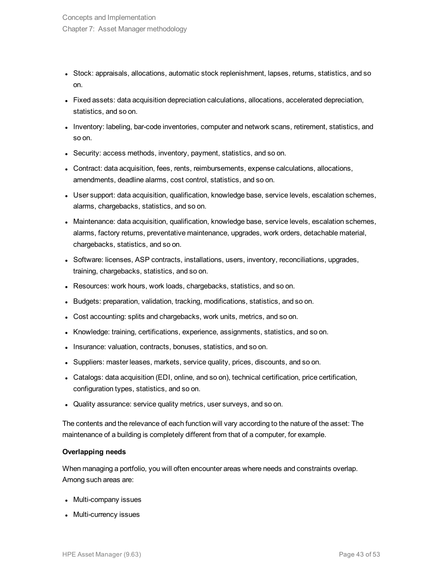- Stock: appraisals, allocations, automatic stock replenishment, lapses, returns, statistics, and so on.
- Fixed assets: data acquisition depreciation calculations, allocations, accelerated depreciation, statistics, and so on.
- Inventory: labeling, bar-code inventories, computer and network scans, retirement, statistics, and so on.
- Security: access methods, inventory, payment, statistics, and so on.
- Contract: data acquisition, fees, rents, reimbursements, expense calculations, allocations, amendments, deadline alarms, cost control, statistics, and so on.
- User support: data acquisition, qualification, knowledge base, service levels, escalation schemes, alarms, chargebacks, statistics, and so on.
- Maintenance: data acquisition, qualification, knowledge base, service levels, escalation schemes, alarms, factory returns, preventative maintenance, upgrades, work orders, detachable material, chargebacks, statistics, and so on.
- Software: licenses, ASP contracts, installations, users, inventory, reconciliations, upgrades, training, chargebacks, statistics, and so on.
- Resources: work hours, work loads, chargebacks, statistics, and so on.
- Budgets: preparation, validation, tracking, modifications, statistics, and so on.
- Cost accounting: splits and chargebacks, work units, metrics, and so on.
- Knowledge: training, certifications, experience, assignments, statistics, and so on.
- Insurance: valuation, contracts, bonuses, statistics, and so on.
- Suppliers: master leases, markets, service quality, prices, discounts, and so on.
- Catalogs: data acquisition (EDI, online, and so on), technical certification, price certification, configuration types, statistics, and so on.
- Quality assurance: service quality metrics, user surveys, and so on.

The contents and the relevance of each function will vary according to the nature of the asset: The maintenance of a building is completely different from that of a computer, for example.

#### **Overlapping needs**

When managing a portfolio, you will often encounter areas where needs and constraints overlap. Among such areas are:

- Multi-company issues
- Multi-currency issues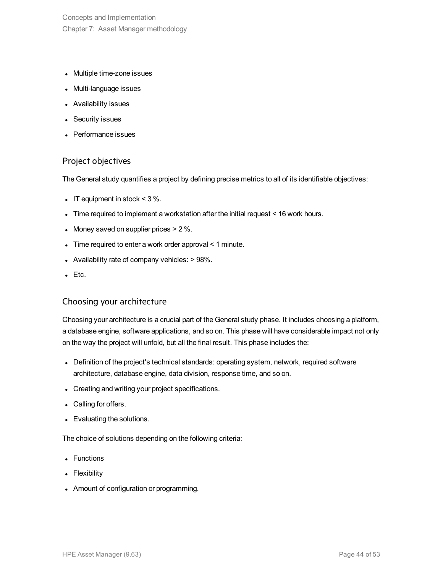Concepts and Implementation Chapter 7: Asset Manager methodology

- Multiple time-zone issues
- Multi-language issues
- Availability issues
- Security issues
- Performance issues

### Project objectives

The General study quantifies a project by defining precise metrics to all of its identifiable objectives:

- IT equipment in stock  $<$  3 %.
- Time required to implement a workstation after the initial request  $<$  16 work hours.
- Money saved on supplier prices  $> 2\%$ .
- Time required to enter a work order approval  $\leq 1$  minute.
- Availability rate of company vehicles:  $> 98\%$ .
- $\bullet$  Etc.

#### Choosing your architecture

Choosing your architecture is a crucial part of the General study phase. It includes choosing a platform, a database engine, software applications, and so on. This phase will have considerable impact not only on the way the project will unfold, but all the final result. This phase includes the:

- Definition of the project's technical standards: operating system, network, required software architecture, database engine, data division, response time, and so on.
- Creating and writing your project specifications.
- Calling for offers.
- Evaluating the solutions.

The choice of solutions depending on the following criteria:

- Functions
- Flexibility
- Amount of configuration or programming.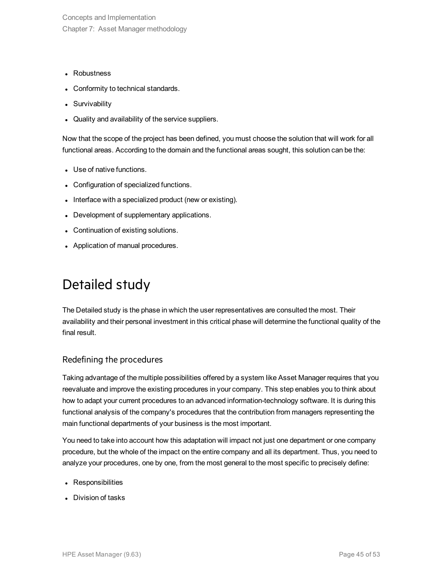Concepts and Implementation Chapter 7: Asset Manager methodology

- Robustness
- Conformity to technical standards.
- Survivability
- Quality and availability of the service suppliers.

Now that the scope of the project has been defined, you must choose the solution that will work for all functional areas. According to the domain and the functional areas sought, this solution can be the:

- Use of native functions.
- Configuration of specialized functions.
- Interface with a specialized product (new or existing).
- Development of supplementary applications.
- Continuation of existing solutions.
- <span id="page-44-0"></span>• Application of manual procedures.

## Detailed study

The Detailed study is the phase in which the user representatives are consulted the most. Their availability and their personal investment in this critical phase will determine the functional quality of the final result.

### Redefining the procedures

Taking advantage of the multiple possibilities offered by a system like Asset Manager requires that you reevaluate and improve the existing procedures in your company. This step enables you to think about how to adapt your current procedures to an advanced information-technology software. It is during this functional analysis of the company's procedures that the contribution from managers representing the main functional departments of your business is the most important.

You need to take into account how this adaptation will impact not just one department or one company procedure, but the whole of the impact on the entire company and all its department. Thus, you need to analyze your procedures, one by one, from the most general to the most specific to precisely define:

- Responsibilities
- Division of tasks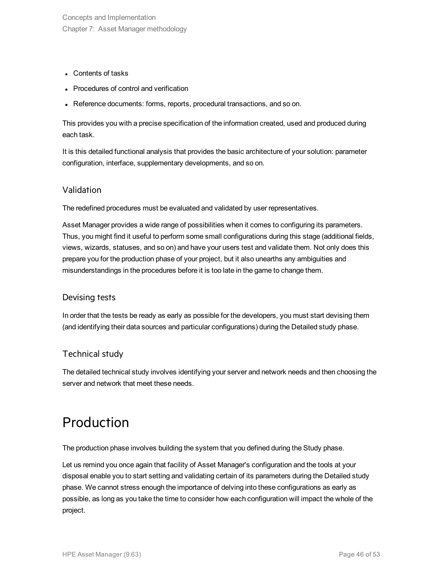- Contents of tasks
- Procedures of control and verification
- Reference documents: forms, reports, procedural transactions, and so on.

This provides you with a precise specification of the information created, used and produced during each task.

It is this detailed functional analysis that provides the basic architecture of your solution: parameter configuration, interface, supplementary developments, and so on.

### Validation

The redefined procedures must be evaluated and validated by user representatives.

Asset Manager provides a wide range of possibilities when it comes to configuring its parameters. Thus, you might find it useful to perform some small configurations during this stage (additional fields, views, wizards, statuses, and so on) and have your users test and validate them. Not only does this prepare you for the production phase of your project, but it also unearths any ambiguities and misunderstandings in the procedures before it is too late in the game to change them.

### Devising tests

In order that the tests be ready as early as possible for the developers, you must start devising them (and identifying their data sources and particular configurations) during the Detailed study phase.

### Technical study

<span id="page-45-0"></span>The detailed technical study involves identifying your server and network needs and then choosing the server and network that meet these needs.

## Production

The production phase involves building the system that you defined during the Study phase.

Let us remind you once again that facility of Asset Manager's configuration and the tools at your disposal enable you to start setting and validating certain of its parameters during the Detailed study phase. We cannot stress enough the importance of delving into these configurations as early as possible, as long as you take the time to consider how each configuration will impact the whole of the project.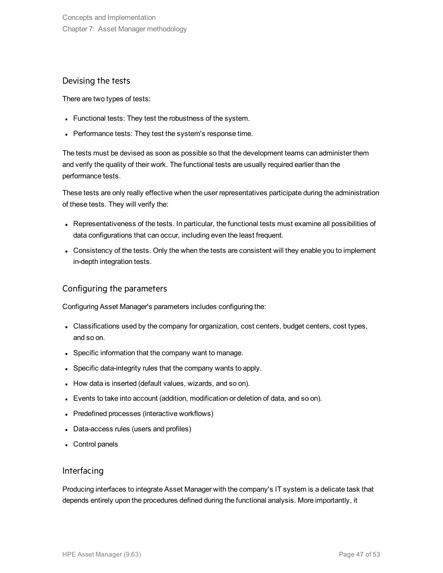### Devising the tests

There are two types of tests:

- Functional tests: They test the robustness of the system.
- Performance tests: They test the system's response time.

The tests must be devised as soon as possible so that the development teams can administer them and verify the quality of their work. The functional tests are usually required earlier than the performance tests.

These tests are only really effective when the user representatives participate during the administration of these tests. They will verify the:

- Representativeness of the tests. In particular, the functional tests must examine all possibilities of data configurations that can occur, including even the least frequent.
- Consistency of the tests. Only the when the tests are consistent will they enable you to implement in-depth integration tests.

### Configuring the parameters

Configuring Asset Manager's parameters includes configuring the:

- Classifications used by the company for organization, cost centers, budget centers, cost types, and so on.
- Specific information that the company want to manage.
- Specific data-integrity rules that the company wants to apply.
- How data is inserted (default values, wizards, and so on).
- Events to take into account (addition, modification or deletion of data, and so on).
- Predefined processes (interactive workflows)
- Data-access rules (users and profiles)
- Control panels

### Interfacing

Producing interfaces to integrate Asset Manager with the company's IT system is a delicate task that depends entirely upon the procedures defined during the functional analysis. More importantly, it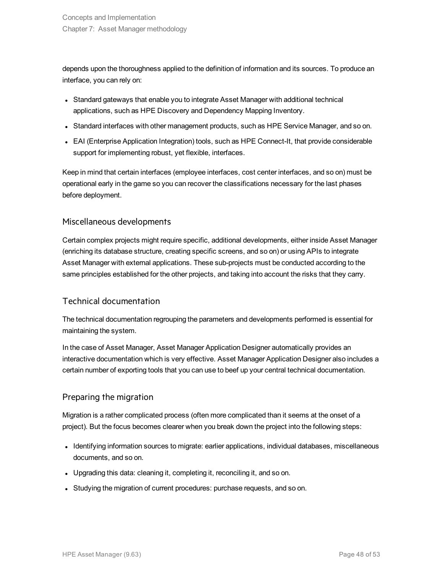depends upon the thoroughness applied to the definition of information and its sources. To produce an interface, you can rely on:

- Standard gateways that enable you to integrate Asset Manager with additional technical applications, such as HPE Discovery and Dependency Mapping Inventory.
- Standard interfaces with other management products, such as HPE Service Manager, and so on.
- EAI (Enterprise Application Integration) tools, such as HPE Connect-It, that provide considerable support for implementing robust, yet flexible, interfaces.

Keep in mind that certain interfaces (employee interfaces, cost center interfaces, and so on) must be operational early in the game so you can recover the classifications necessary for the last phases before deployment.

### Miscellaneous developments

Certain complex projects might require specific, additional developments, either inside Asset Manager (enriching its database structure, creating specific screens, and so on) or using APIs to integrate Asset Manager with external applications. These sub-projects must be conducted according to the same principles established for the other projects, and taking into account the risks that they carry.

### Technical documentation

The technical documentation regrouping the parameters and developments performed is essential for maintaining the system.

In the case of Asset Manager, Asset Manager Application Designer automatically provides an interactive documentation which is very effective. Asset Manager Application Designer also includes a certain number of exporting tools that you can use to beef up your central technical documentation.

### Preparing the migration

Migration is a rather complicated process (often more complicated than it seems at the onset of a project). But the focus becomes clearer when you break down the project into the following steps:

- Identifying information sources to migrate: earlier applications, individual databases, miscellaneous documents, and so on.
- Upgrading this data: cleaning it, completing it, reconciling it, and so on.
- Studying the migration of current procedures: purchase requests, and so on.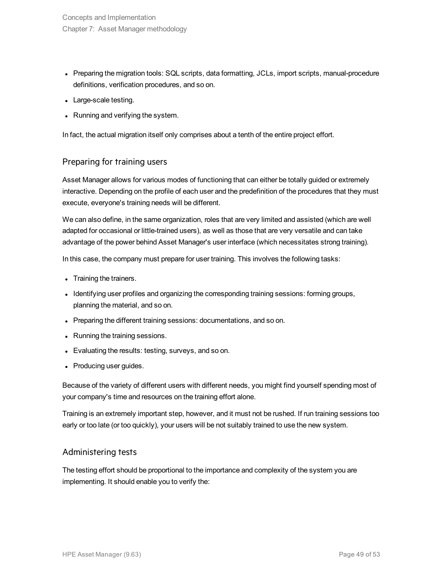- Preparing the migration tools: SQL scripts, data formatting, JCLs, import scripts, manual-procedure definitions, verification procedures, and so on.
- Large-scale testing.
- Running and verifying the system.

In fact, the actual migration itself only comprises about a tenth of the entire project effort.

### Preparing for training users

Asset Manager allows for various modes of functioning that can either be totally guided or extremely interactive. Depending on the profile of each user and the predefinition of the procedures that they must execute, everyone's training needs will be different.

We can also define, in the same organization, roles that are very limited and assisted (which are well adapted for occasional or little-trained users), as well as those that are very versatile and can take advantage of the power behind Asset Manager's user interface (which necessitates strong training).

In this case, the company must prepare for user training. This involves the following tasks:

- Training the trainers.
- Identifying user profiles and organizing the corresponding training sessions: forming groups, planning the material, and so on.
- Preparing the different training sessions: documentations, and so on.
- Running the training sessions.
- Evaluating the results: testing, surveys, and so on.
- Producing user guides.

Because of the variety of different users with different needs, you might find yourself spending most of your company's time and resources on the training effort alone.

Training is an extremely important step, however, and it must not be rushed. If run training sessions too early or too late (or too quickly), your users will be not suitably trained to use the new system.

### Administering tests

The testing effort should be proportional to the importance and complexity of the system you are implementing. It should enable you to verify the: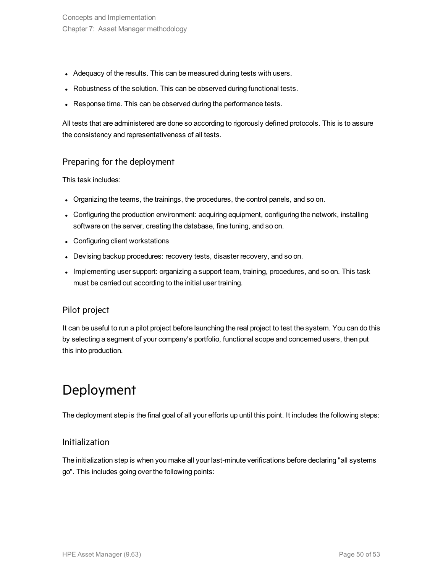- Adequacy of the results. This can be measured during tests with users.
- Robustness of the solution. This can be observed during functional tests.
- Response time. This can be observed during the performance tests.

All tests that are administered are done so according to rigorously defined protocols. This is to assure the consistency and representativeness of all tests.

### Preparing for the deployment

This task includes:

- Organizing the teams, the trainings, the procedures, the control panels, and so on.
- Configuring the production environment: acquiring equipment, configuring the network, installing software on the server, creating the database, fine tuning, and so on.
- Configuring client workstations
- Devising backup procedures: recovery tests, disaster recovery, and so on.
- Implementing user support: organizing a support team, training, procedures, and so on. This task must be carried out according to the initial user training.

### Pilot project

It can be useful to run a pilot project before launching the real project to test the system. You can do this by selecting a segment of your company's portfolio, functional scope and concerned users, then put this into production.

## <span id="page-49-0"></span>Deployment

The deployment step is the final goal of all your efforts up until this point. It includes the following steps:

#### Initialization

The initialization step is when you make all your last-minute verifications before declaring "all systems go". This includes going over the following points: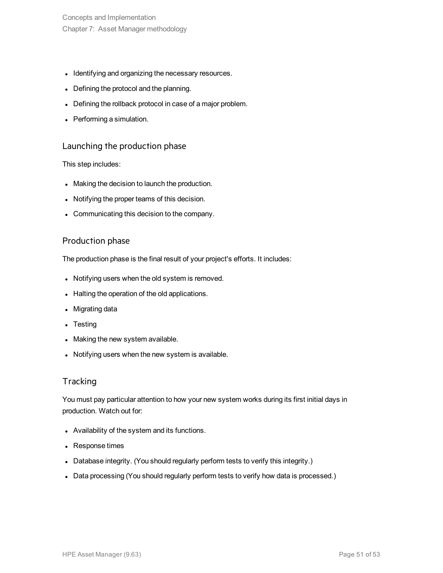Concepts and Implementation Chapter 7: Asset Manager methodology

- Identifying and organizing the necessary resources.
- Defining the protocol and the planning.
- Defining the rollback protocol in case of a major problem.
- Performing a simulation.

### Launching the production phase

This step includes:

- Making the decision to launch the production.
- Notifying the proper teams of this decision.
- Communicating this decision to the company.

#### Production phase

The production phase is the final result of your project's efforts. It includes:

- Notifying users when the old system is removed.
- Halting the operation of the old applications.
- Migrating data
- $\bullet$  Testing
- Making the new system available.
- Notifying users when the new system is available.

### **Tracking**

You must pay particular attention to how your new system works during its first initial days in production. Watch out for:

- Availability of the system and its functions.
- Response times
- Database integrity. (You should regularly perform tests to verify this integrity.)
- Data processing (You should regularly perform tests to verify how data is processed.)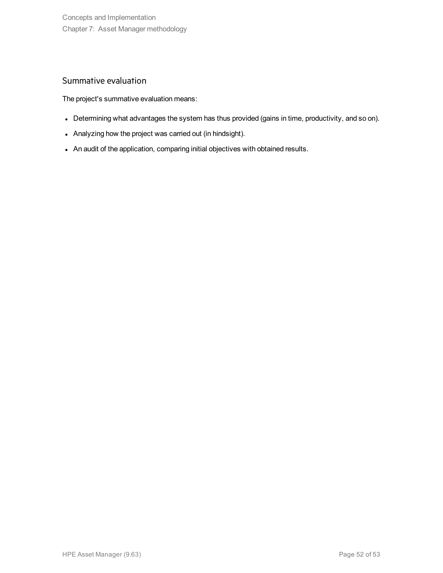### Summative evaluation

The project's summative evaluation means:

- Determining what advantages the system has thus provided (gains in time, productivity, and so on).
- Analyzing how the project was carried out (in hindsight).
- An audit of the application, comparing initial objectives with obtained results.